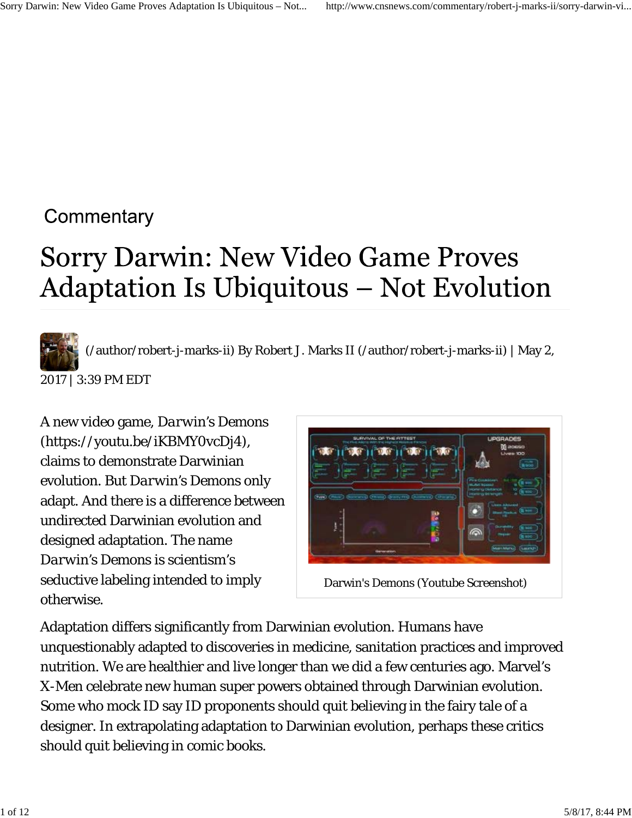## Commentary

# Sorry Darwin: New Video Game Proves **Adaptation Is Ubiquitous – Not Evolution**



(/author/robert-j-marks-ii) By Robert J. Marks II (/author/robert-j-marks-ii) | May 2,

2017 | 3:39 PM EDT

A new video game, *Darwin's Demons* (https://youtu.be/iKBMY0vcDj4), claims to demonstrate Darwinian evolution. But *Darwin's Demons* only adapt. And there is a difference between undirected Darwinian evolution and designed adaptation. The name *Darwin's Demons* is scientism's seductive labeling intended to imply otherwise.



Adaptation differs significantly from Darwinian evolution. Humans have unquestionably adapted to discoveries in medicine, sanitation practices and improved nutrition. We are healthier and live longer than we did a few centuries ago. Marvel's *X-Men* celebrate new human super powers obtained through Darwinian evolution. Some who mock ID say ID proponents should quit believing in the fairy tale of a designer. In extrapolating adaptation to Darwinian evolution, perhaps these critics should quit believing in comic books.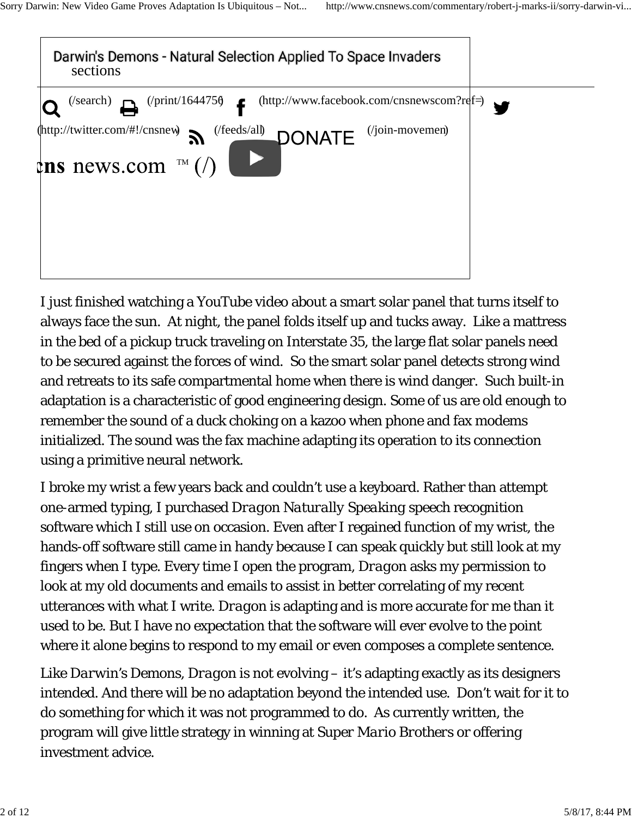

I just finished watching a YouTube video about a smart solar panel that turns itself to always face the sun. At night, the panel folds itself up and tucks away. Like a mattress in the bed of a pickup truck traveling on Interstate 35, the large flat solar panels need to be secured against the forces of wind. So the smart solar panel detects strong wind and retreats to its safe compartmental home when there is wind danger. Such built-in adaptation is a characteristic of good engineering design. Some of us are old enough to remember the sound of a duck choking on a kazoo when phone and fax modems initialized. The sound was the fax machine adapting its operation to its connection using a primitive neural network.

I broke my wrist a few years back and couldn't use a keyboard. Rather than attempt one-armed typing, I purchased *Dragon Naturally Speaking* speech recognition software which I still use on occasion. Even after I regained function of my wrist, the hands-off software still came in handy because I can speak quickly but still look at my fingers when I type. Every time I open the program, *Dragon* asks my permission to look at my old documents and emails to assist in better correlating of my recent utterances with what I write. *Dragon* is adapting and is more accurate for me than it used to be. But I have no expectation that the software will ever evolve to the point where it alone begins to respond to my email or even composes a complete sentence.

Like *Darwin's Demons*, *Dragon* is not evolving – it's adapting exactly as its designers intended. And there will be no adaptation beyond the intended use. Don't wait for it to do something for which it was not programmed to do. As currently written, the program will give little strategy in winning at *Super Mario Brothers* or offering investment advice.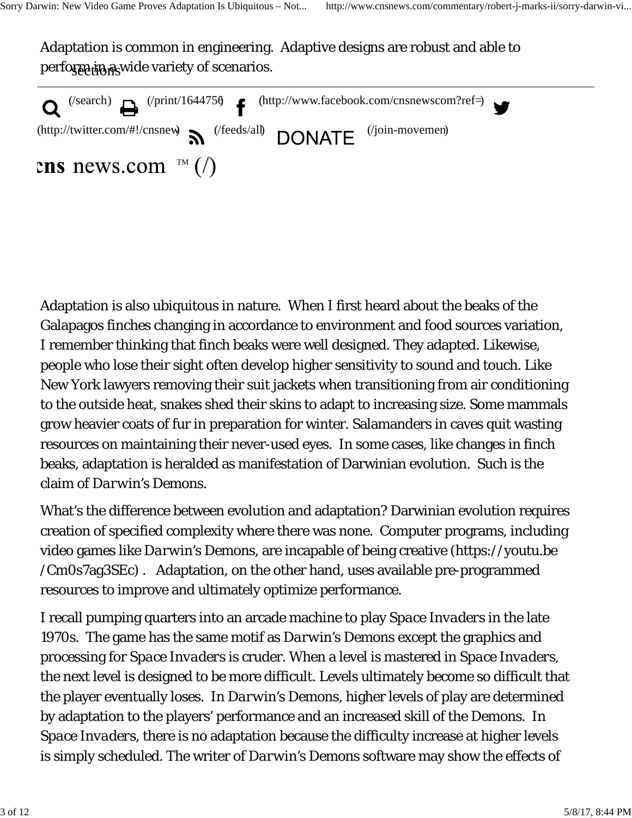Adaptation is common in engineering. Adaptive designs are robust and able to perform in a wide variety of scenarios.

| $\bullet$ (/search) $\bullet$ (/print/164475 $\bullet$ f (http://www.facebook.com/cnsnewscom?ref=) |  |
|----------------------------------------------------------------------------------------------------|--|
| (http://twitter.com/#!/cnsnew $\sum$ (/feeds/all) DONATE (/join-movemen)                           |  |
| cns news.com $\mathbb{R}$ (/)                                                                      |  |

Adaptation is also ubiquitous in nature. When I first heard about the beaks of the Galapagos finches changing in accordance to environment and food sources variation, I remember thinking that finch beaks were well designed. They adapted. Likewise, people who lose their sight often develop higher sensitivity to sound and touch. Like New York lawyers removing their suit jackets when transitioning from air conditioning to the outside heat, snakes shed their skins to adapt to increasing size. Some mammals grow heavier coats of fur in preparation for winter. Salamanders in caves quit wasting resources on maintaining their never-used eyes. In some cases, like changes in finch beaks, adaptation is heralded as manifestation of Darwinian evolution. Such is the claim of *Darwin's Demons*.

What's the difference between evolution and adaptation? Darwinian evolution requires creation of specified complexity where there was none. Computer programs, including video games like *Darwin's Demons*, are incapable of being creative (https://youtu.be /Cm0s7ag3SEc) . Adaptation, on the other hand, uses available pre-programmed resources to improve and ultimately optimize performance.

I recall pumping quarters into an arcade machine to play *Space Invaders* in the late 1970s. The game has the same motif as *Darwin's Demons* except the graphics and processing for *Space Invaders* is cruder. When a level is mastered in *Space Invaders*, the next level is designed to be more difficult. Levels ultimately become so difficult that the player eventually loses. In *Darwin's Demons*, higher levels of play are determined by adaptation to the players' performance and an increased skill of the *Demons*. In *Space Invaders*, there is no adaptation because the difficulty increase at higher levels is simply scheduled. The writer of *Darwin's Demons* software may show the effects of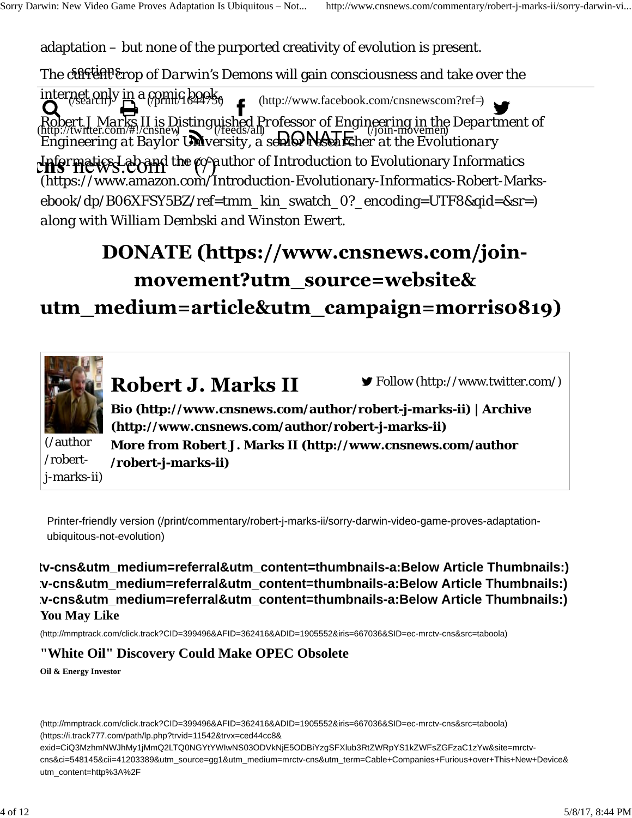adaptation – but none of the purported creativity of evolution is present.

The c<del>ural diplot</del> copport *Darwin's Demons* will gain consciousness and take over the

internet only in a comic book<sub>6</sub> *Robert J Marks II is Distinguished Professor of Engineering in the Department of Engineering at Baylor University, a senior researcher at the Evolutionary Informatics Lab and the co-author of* Introduction to Evolutionary Informatics (https://www.amazon.com/Introduction-Evolutionary-Informatics-Robert-Marksebook/dp/B06XFSY5BZ/ref=tmm\_kin\_swatch\_0?\_encoding=UTF8&qid=&sr=) *along with William Dembski and Winston Ewert.*  $(\text{http://www.facebook.com/cnsnewscom?ref=})$ (http://twitter.com/#!/cnsnew) (/feeds/all)  $\bigcap_{N\in\mathbb{N}}$   $\bigcap_{N\in\mathbb{N}}$   $\bigcap_{N\in\mathbb{N}}$   $\bigcap_{N\in\mathbb{N}}$   $\bigcap_{N\in\mathbb{N}}$ 

## DONATE (https://www.cnsnews.com/joinmovement?utm\_source=website& utm\_medium=article&utm\_campaign=morriso819)



Printer-friendly version (/print/commentary/robert-j-marks-ii/sorry-darwin-video-game-proves-adaptationubiquitous-not-evolution)

**You May Like tv-cns&utm\_medium=referral&utm\_content=thumbnails-a:Below Article Thumbnails:) tv-cns&utm\_medium=referral&utm\_content=thumbnails-a:Below Article Thumbnails:) tv-cns&utm\_medium=referral&utm\_content=thumbnails-a:Below Article Thumbnails:)**

(http://mmptrack.com/click.track?CID=399496&AFID=362416&ADID=1905552&iris=667036&SID=ec-mrctv-cns&src=taboola)

#### **"White Oil" Discovery Could Make OPEC Obsolete**

**Oil & Energy Investor**

(http://mmptrack.com/click.track?CID=399496&AFID=362416&ADID=1905552&iris=667036&SID=ec-mrctv-cns&src=taboola) (https://i.track777.com/path/lp.php?trvid=11542&trvx=ced44cc8&

exid=CiQ3MzhmNWJhMy1jMmQ2LTQ0NGYtYWIwNS03ODVkNjE5ODBiYzgSFXlub3RtZWRpYS1kZWFsZGFzaC1zYw&site=mrctvcns&ci=548145&cii=41203389&utm\_source=gg1&utm\_medium=mrctv-cns&utm\_term=Cable+Companies+Furious+over+This+New+Device& utm\_content=http%3A%2F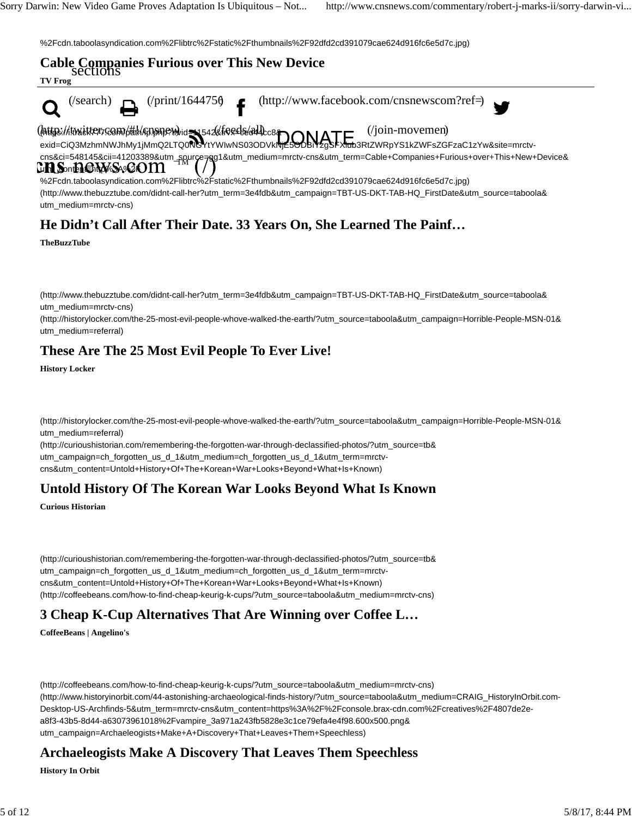%2Fcdn.taboolasyndication.com%2Flibtrc%2Fstatic%2Fthumbnails%2F92dfd2cd391079cae624d916fc6e5d7c.jpg)



### **He Didn't Call After Their Date. 33 Years On, She Learned The Painf…**

**TheBuzzTube**

(http://www.thebuzztube.com/didnt-call-her?utm\_term=3e4fdb&utm\_campaign=TBT-US-DKT-TAB-HQ\_FirstDate&utm\_source=taboola& utm\_medium=mrctv-cns)

(http://historylocker.com/the-25-most-evil-people-whove-walked-the-earth/?utm\_source=taboola&utm\_campaign=Horrible-People-MSN-01& utm\_medium=referral)

#### **These Are The 25 Most Evil People To Ever Live!**

**History Locker**

(http://historylocker.com/the-25-most-evil-people-whove-walked-the-earth/?utm\_source=taboola&utm\_campaign=Horrible-People-MSN-01& utm\_medium=referral)

(http://curioushistorian.com/remembering-the-forgotten-war-through-declassified-photos/?utm\_source=tb& utm\_campaign=ch\_forgotten\_us\_d\_1&utm\_medium=ch\_forgotten\_us\_d\_1&utm\_term=mrctvcns&utm\_content=Untold+History+Of+The+Korean+War+Looks+Beyond+What+Is+Known)

#### **Untold History Of The Korean War Looks Beyond What Is Known**

**Curious Historian**

(http://curioushistorian.com/remembering-the-forgotten-war-through-declassified-photos/?utm\_source=tb& utm\_campaign=ch\_forgotten\_us\_d\_1&utm\_medium=ch\_forgotten\_us\_d\_1&utm\_term=mrctvcns&utm\_content=Untold+History+Of+The+Korean+War+Looks+Beyond+What+Is+Known) (http://coffeebeans.com/how-to-find-cheap-keurig-k-cups/?utm\_source=taboola&utm\_medium=mrctv-cns)

#### **3 Cheap K-Cup Alternatives That Are Winning over Coffee L…**

**CoffeeBeans | Angelino's**

(http://coffeebeans.com/how-to-find-cheap-keurig-k-cups/?utm\_source=taboola&utm\_medium=mrctv-cns) (http://www.historyinorbit.com/44-astonishing-archaeological-finds-history/?utm\_source=taboola&utm\_medium=CRAIG\_HistoryInOrbit.com-Desktop-US-Archfinds-5&utm\_term=mrctv-cns&utm\_content=https%3A%2F%2Fconsole.brax-cdn.com%2Fcreatives%2F4807de2ea8f3-43b5-8d44-a63073961018%2Fvampire\_3a971a243fb5828e3c1ce79efa4e4f98.600x500.png& utm\_campaign=Archaeleogists+Make+A+Discovery+That+Leaves+Them+Speechless)

#### **Archaeleogists Make A Discovery That Leaves Them Speechless**

**History In Orbit**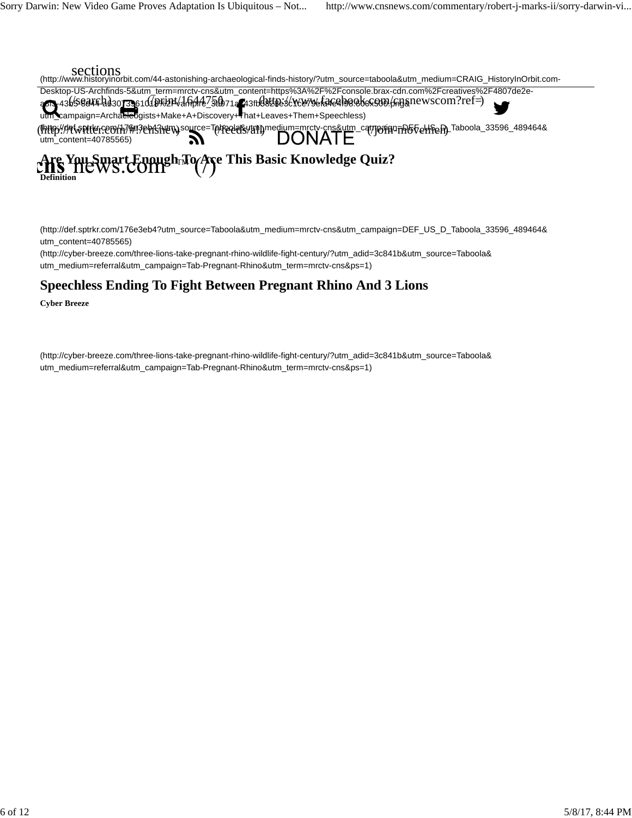

(http://def.sptrkr.com/176e3eb4?utm\_source=Taboola&utm\_medium=mrctv-cns&utm\_campaign=DEF\_US\_D\_Taboola\_33596\_489464& utm\_content=40785565)

(http://cyber-breeze.com/three-lions-take-pregnant-rhino-wildlife-fight-century/?utm\_adid=3c841b&utm\_source=Taboola& utm\_medium=referral&utm\_campaign=Tab-Pregnant-Rhino&utm\_term=mrctv-cns&ps=1)

#### **Speechless Ending To Fight Between Pregnant Rhino And 3 Lions**

**Cyber Breeze**

(http://cyber-breeze.com/three-lions-take-pregnant-rhino-wildlife-fight-century/?utm\_adid=3c841b&utm\_source=Taboola& utm\_medium=referral&utm\_campaign=Tab-Pregnant-Rhino&utm\_term=mrctv-cns&ps=1)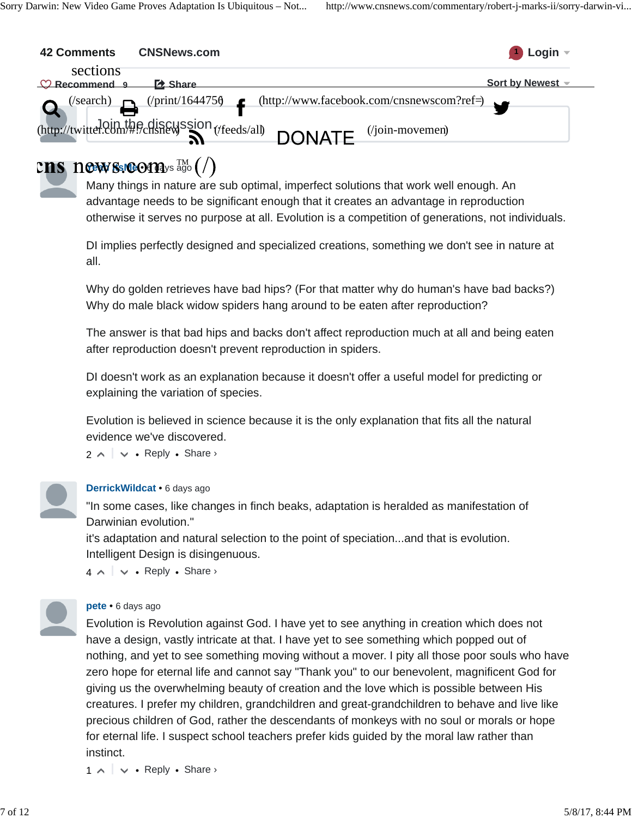| <b>42 Comments</b>                    | <b>CNSNews.com</b>        |                                                                           | $\bigcup$ Login $\lnot$ |
|---------------------------------------|---------------------------|---------------------------------------------------------------------------|-------------------------|
| sections<br>$\mathcal{O}$ Recommend 9 | <b>EX Share</b>           |                                                                           | Sort by Newest -        |
| (/search)                             | $($ print/164475 $\delta$ | $(http://www.facebook.com/cnsnewscom?ref=)$                               |                         |
|                                       | . .                       | (http://twitter.com/#Pchshewssion (/feeds/all) DONATE<br>$(join-movemen)$ |                         |

## **Yeah SsiGO114**ys ago

Many things in nature are sub optimal, imperfect solutions that work well enough. An advantage needs to be significant enough that it creates an advantage in reproduction otherwise it serves no purpose at all. Evolution is a competition of generations, not individuals.

DI implies perfectly designed and specialized creations, something we don't see in nature at all.

Why do golden retrieves have bad hips? (For that matter why do human's have bad backs?) Why do male black widow spiders hang around to be eaten after reproduction?

The answer is that bad hips and backs don't affect reproduction much at all and being eaten after reproduction doesn't prevent reproduction in spiders.

DI doesn't work as an explanation because it doesn't offer a useful model for predicting or explaining the variation of species.

Evolution is believed in science because it is the only explanation that fits all the natural evidence we've discovered.

 $2 \wedge \vert \vee \cdot$  Reply  $\cdot$  Share  $\vee$ 



#### **DerrickWildcat** • 6 days ago

"In some cases, like changes in finch beaks, adaptation is heralded as manifestation of Darwinian evolution."

it's adaptation and natural selection to the point of speciation...and that is evolution. Intelligent Design is disingenuous.

 $4 \wedge \vert \vee \bullet$  Reply  $\bullet$  Share  $\vee$ 

#### **pete** • 6 days ago

Evolution is Revolution against God. I have yet to see anything in creation which does not have a design, vastly intricate at that. I have yet to see something which popped out of nothing, and yet to see something moving without a mover. I pity all those poor souls who have zero hope for eternal life and cannot say "Thank you" to our benevolent, magnificent God for giving us the overwhelming beauty of creation and the love which is possible between His creatures. I prefer my children, grandchildren and great-grandchildren to behave and live like precious children of God, rather the descendants of monkeys with no soul or morals or hope for eternal life. I suspect school teachers prefer kids guided by the moral law rather than instinct.

 $1 \wedge \cdots \vee \bullet$  Reply • Share ›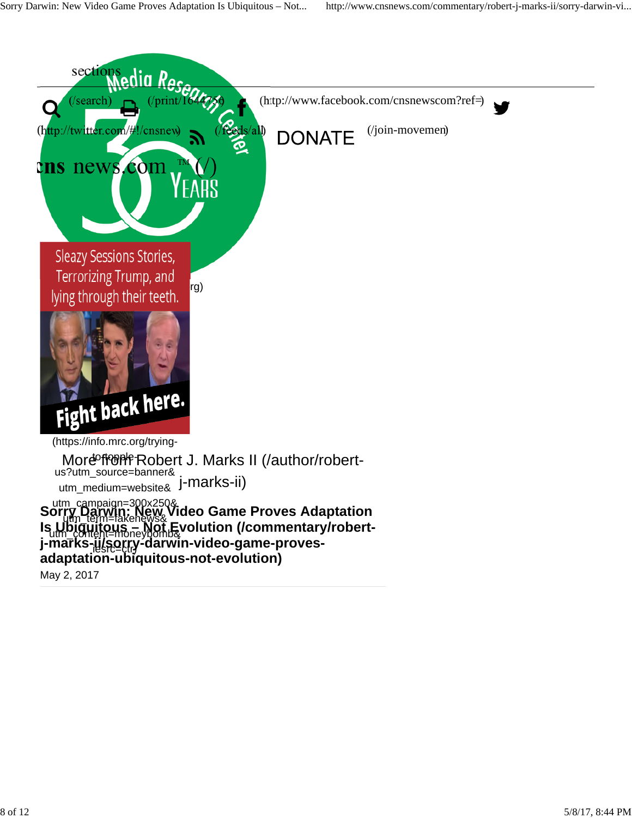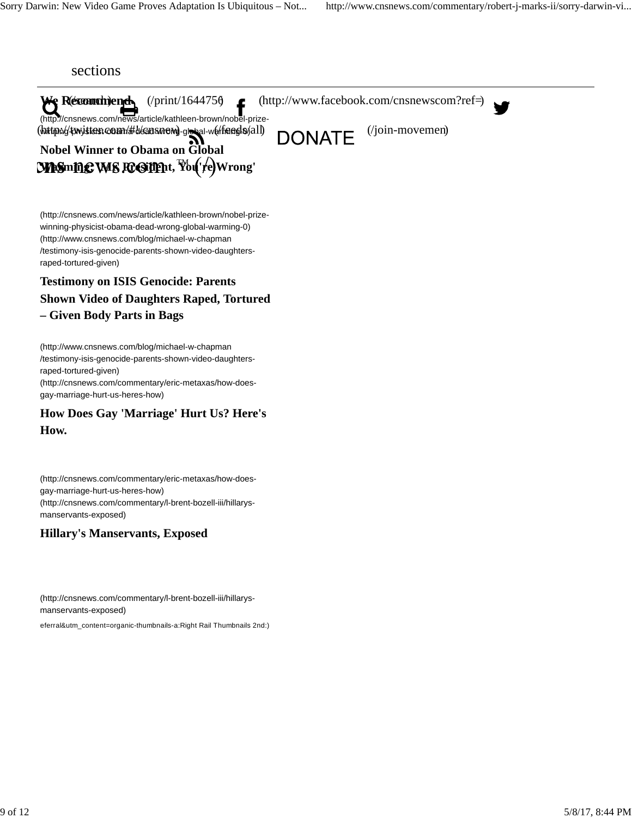

(http://cnsnews.com/news/article/kathleen-brown/nobel-prizewinning-physicist-obama-dead-wrong-global-warming-0) (http://www.cnsnews.com/blog/michael-w-chapman /testimony-isis-genocide-parents-shown-video-daughtersraped-tortured-given)

#### **Testimony on ISIS Genocide: Parents Shown Video of Daughters Raped, Tortured – Given Body Parts in Bags**

(http://www.cnsnews.com/blog/michael-w-chapman /testimony-isis-genocide-parents-shown-video-daughtersraped-tortured-given) (http://cnsnews.com/commentary/eric-metaxas/how-doesgay-marriage-hurt-us-heres-how)

#### **How Does Gay 'Marriage' Hurt Us? Here's How.**

(http://cnsnews.com/commentary/eric-metaxas/how-doesgay-marriage-hurt-us-heres-how) (http://cnsnews.com/commentary/l-brent-bozell-iii/hillarysmanservants-exposed)

#### **Hillary's Manservants, Exposed**

(http://cnsnews.com/commentary/l-brent-bozell-iii/hillarysmanservants-exposed)

referral&utm\_content=organic-thumbnails-a:Right Rail Thumbnails 2nd:)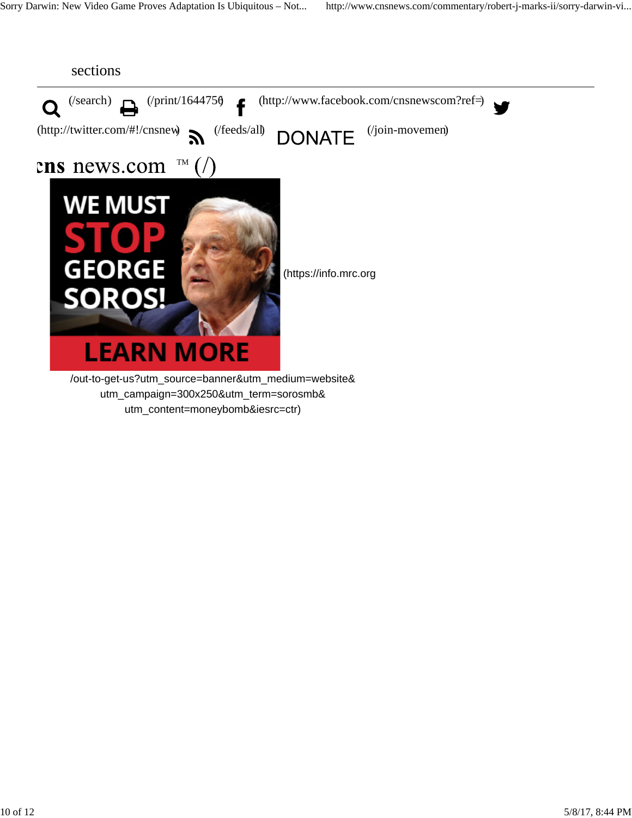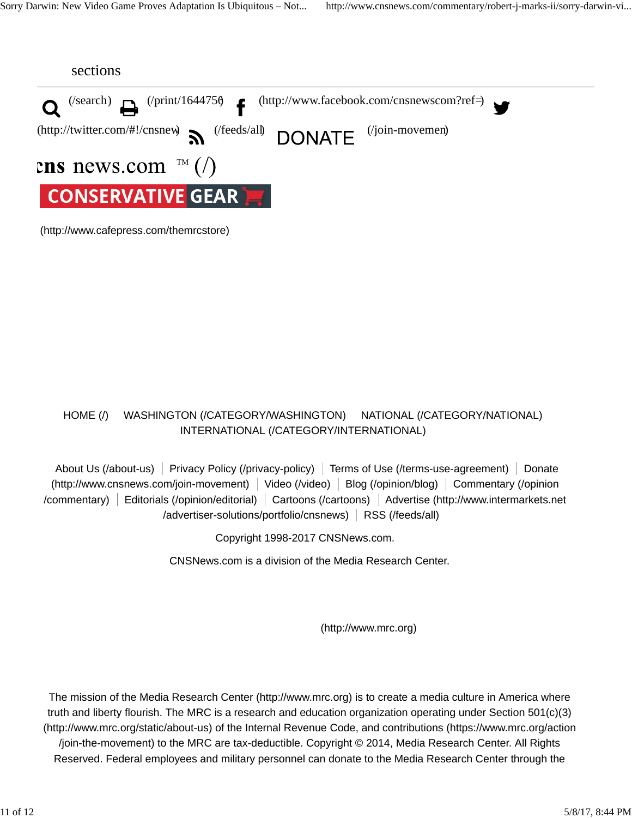

(http://www.cafepress.com/themrcstore)

#### HOME (/) WASHINGTON (/CATEGORY/WASHINGTON) NATIONAL (/CATEGORY/NATIONAL) INTERNATIONAL (/CATEGORY/INTERNATIONAL)

About Us (/about-us) Privacy Policy (/privacy-policy) Terms of Use (/terms-use-agreement) Donate (http://www.cnsnews.com/join-movement) Video (/video) Blog (/opinion/blog) Commentary (/opinion /commentary) Editorials (/opinion/editorial) Cartoons (/cartoons) Advertise (http://www.intermarkets.net /advertiser-solutions/portfolio/cnsnews) RSS (/feeds/all)

Copyright 1998-2017 CNSNews.com.

CNSNews.com is a division of the Media Research Center.

(http://www.mrc.org)

The mission of the Media Research Center (http://www.mrc.org) is to create a media culture in America where truth and liberty flourish. The MRC is a research and education organization operating under Section 501(c)(3) (http://www.mrc.org/static/about-us) of the Internal Revenue Code, and contributions (https://www.mrc.org/action /join-the-movement) to the MRC are tax-deductible. Copyright © 2014, Media Research Center. All Rights Reserved. Federal employees and military personnel can donate to the Media Research Center through the